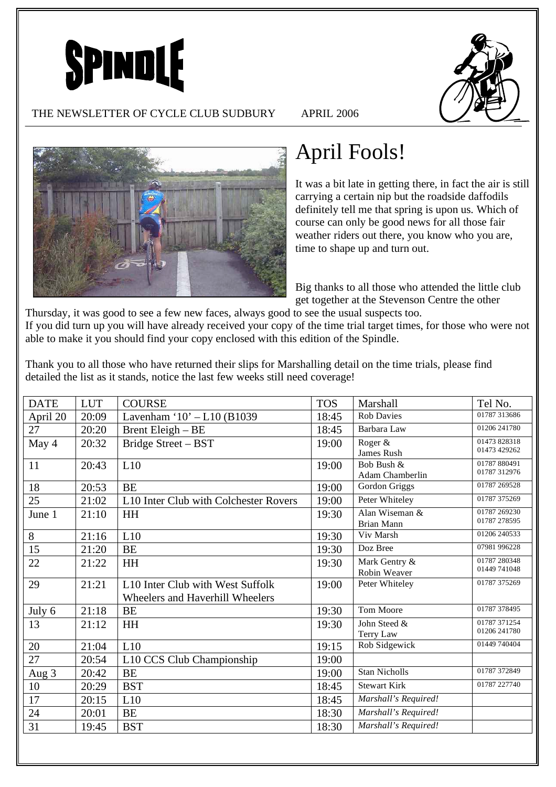



#### THE NEWSLETTER OF CYCLE CLUB SUDBURY APRIL 2006



# April Fools!

It was a bit late in getting there, in fact the air is still carrying a certain nip but the roadside daffodils definitely tell me that spring is upon us. Which of course can only be good news for all those fair weather riders out there, you know who you are, time to shape up and turn out.

Big thanks to all those who attended the little club get together at the Stevenson Centre the other

Thursday, it was good to see a few new faces, always good to see the usual suspects too. If you did turn up you will have already received your copy of the time trial target times, for those who were not able to make it you should find your copy enclosed with this edition of the Spindle.

Thank you to all those who have returned their slips for Marshalling detail on the time trials, please find detailed the list as it stands, notice the last few weeks still need coverage!

| <b>DATE</b> | <b>LUT</b> | <b>COURSE</b>                                                                   | <b>TOS</b> | Marshall                      | Tel No.                      |
|-------------|------------|---------------------------------------------------------------------------------|------------|-------------------------------|------------------------------|
| April 20    | 20:09      | Lavenham ' $10' - L10$ (B1039                                                   | 18:45      | <b>Rob Davies</b>             | 01787 313686                 |
| 27          | 20:20      | Brent Eleigh - BE                                                               | 18:45      | Barbara Law                   | 01206 241780                 |
| May 4       | 20:32      | Bridge Street - BST                                                             | 19:00      | Roger &<br>James Rush         | 01473 828318<br>01473 429262 |
| 11          | 20:43      | L10                                                                             | 19:00      | Bob Bush &<br>Adam Chamberlin | 01787 880491<br>01787 312976 |
| 18          | 20:53      | <b>BE</b>                                                                       | 19:00      | Gordon Griggs                 | 01787 269528                 |
| 25          | 21:02      | L10 Inter Club with Colchester Rovers                                           | 19:00      | Peter Whiteley                | 01787 375269                 |
| June 1      | 21:10      | <b>HH</b>                                                                       | 19:30      | Alan Wiseman &<br>Brian Mann  | 01787 269230<br>01787 278595 |
| 8           | 21:16      | L10                                                                             | 19:30      | Viv Marsh                     | 01206 240533                 |
| 15          | 21:20      | <b>BE</b>                                                                       | 19:30      | Doz Bree                      | 07981 996228                 |
| 22          | 21:22      | HH                                                                              | 19:30      | Mark Gentry &<br>Robin Weaver | 01787 280348<br>01449 741048 |
| 29          | 21:21      | L <sub>10</sub> Inter Club with West Suffolk<br>Wheelers and Haverhill Wheelers | 19:00      | Peter Whiteley                | 01787 375269                 |
| July 6      | 21:18      | <b>BE</b>                                                                       | 19:30      | Tom Moore                     | 01787 378495                 |
| 13          | 21:12      | HH                                                                              | 19:30      | John Steed &<br>Terry Law     | 01787 371254<br>01206 241780 |
| 20          | 21:04      | L10                                                                             | 19:15      | Rob Sidgewick                 | 01449 740404                 |
| 27          | 20:54      | L10 CCS Club Championship                                                       | 19:00      |                               |                              |
| Aug 3       | 20:42      | <b>BE</b>                                                                       | 19:00      | <b>Stan Nicholls</b>          | 01787 372849                 |
| 10          | 20:29      | <b>BST</b>                                                                      | 18:45      | <b>Stewart Kirk</b>           | 01787 227740                 |
| 17          | 20:15      | L10                                                                             | 18:45      | Marshall's Required!          |                              |
| 24          | 20:01      | <b>BE</b>                                                                       | 18:30      | Marshall's Required!          |                              |
| 31          | 19:45      | <b>BST</b>                                                                      | 18:30      | Marshall's Required!          |                              |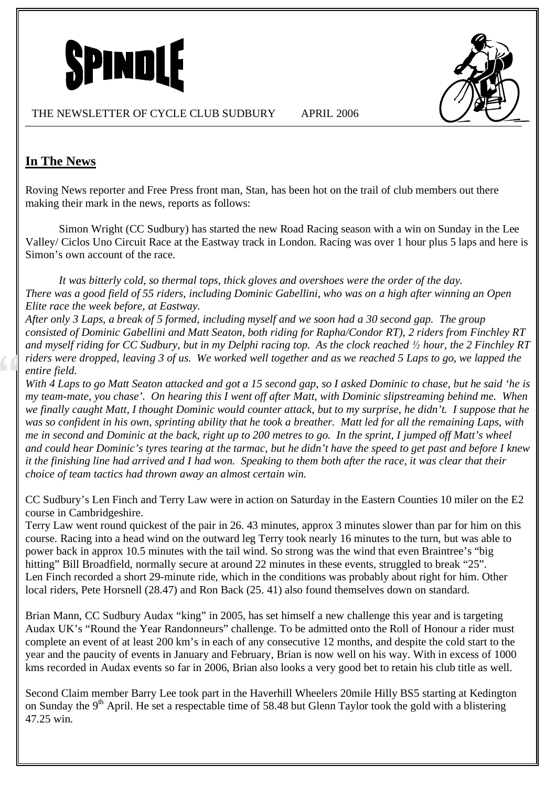



# **In The News**

Roving News reporter and Free Press front man, Stan, has been hot on the trail of club members out there making their mark in the news, reports as follows:

Simon Wright (CC Sudbury) has started the new Road Racing season with a win on Sunday in the Lee Valley/ Ciclos Uno Circuit Race at the Eastway track in London. Racing was over 1 hour plus 5 laps and here is Simon's own account of the race.

*It was bitterly cold, so thermal tops, thick gloves and overshoes were the order of the day. There was a good field of 55 riders, including Dominic Gabellini, who was on a high after winning an Open Elite race the week before, at Eastway.*

*After only 3 Laps, a break of 5 formed, including myself and we soon had a 30 second gap. The group consisted of Dominic Gabellini and Matt Seaton, both riding for Rapha/Condor RT), 2 riders from Finchley RT and myself riding for CC Sudbury, but in my Delphi racing top. As the clock reached ! hour, the 2 Finchley RT riders were dropped, leaving 3 of us. We worked well together and as we reached 5 Laps to go, we lapped the entire field.* 

*With 4 Laps to go Matt Seaton attacked and got a 15 second gap, so I asked Dominic to chase, but he said 'he is my team-mate, you chase'. On hearing this I went off after Matt, with Dominic slipstreaming behind me. When we finally caught Matt, I thought Dominic would counter attack, but to my surprise, he didn't. I suppose that he was so confident in his own, sprinting ability that he took a breather. Matt led for all the remaining Laps, with me in second and Dominic at the back, right up to 200 metres to go. In the sprint, I jumped off Matt's wheel and could hear Dominic's tyres tearing at the tarmac, but he didn't have the speed to get past and before I knew it the finishing line had arrived and I had won. Speaking to them both after the race, it was clear that their choice of team tactics had thrown away an almost certain win.* 

CC Sudbury's Len Finch and Terry Law were in action on Saturday in the Eastern Counties 10 miler on the E2 course in Cambridgeshire.

Terry Law went round quickest of the pair in 26. 43 minutes, approx 3 minutes slower than par for him on this course. Racing into a head wind on the outward leg Terry took nearly 16 minutes to the turn, but was able to power back in approx 10.5 minutes with the tail wind. So strong was the wind that even Braintree's "big hitting" Bill Broadfield, normally secure at around 22 minutes in these events, struggled to break "25". Len Finch recorded a short 29-minute ride, which in the conditions was probably about right for him. Other local riders, Pete Horsnell (28.47) and Ron Back (25. 41) also found themselves down on standard.

Brian Mann, CC Sudbury Audax "king" in 2005, has set himself a new challenge this year and is targeting Audax UK's "Round the Year Randonneurs" challenge. To be admitted onto the Roll of Honour a rider must complete an event of at least 200 km's in each of any consecutive 12 months, and despite the cold start to the year and the paucity of events in January and February, Brian is now well on his way. With in excess of 1000 kms recorded in Audax events so far in 2006, Brian also looks a very good bet to retain his club title as well.

Second Claim member Barry Lee took part in the Haverhill Wheelers 20mile Hilly BS5 starting at Kedington on Sunday the  $9<sup>th</sup>$  April. He set a respectable time of 58.48 but Glenn Taylor took the gold with a blistering 47.25 win.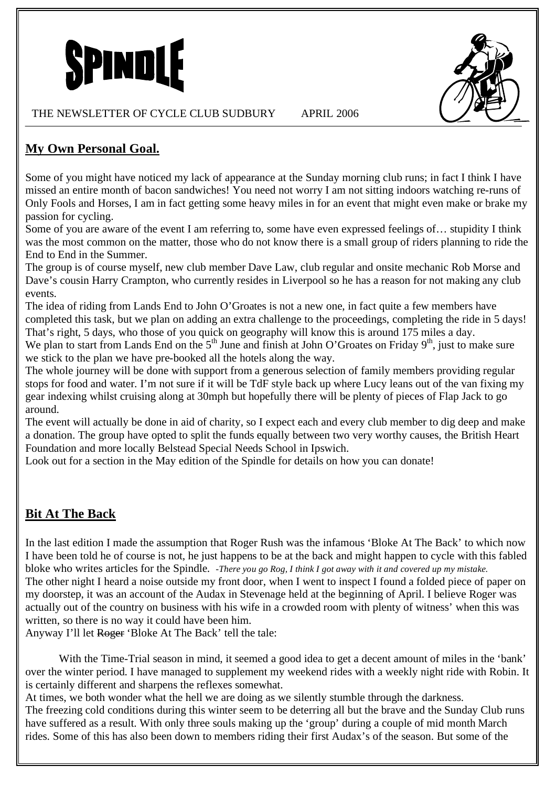



## **My Own Personal Goal.**

Some of you might have noticed my lack of appearance at the Sunday morning club runs; in fact I think I have missed an entire month of bacon sandwiches! You need not worry I am not sitting indoors watching re-runs of Only Fools and Horses, I am in fact getting some heavy miles in for an event that might even make or brake my passion for cycling.

Some of you are aware of the event I am referring to, some have even expressed feelings of… stupidity I think was the most common on the matter, those who do not know there is a small group of riders planning to ride the End to End in the Summer.

The group is of course myself, new club member Dave Law, club regular and onsite mechanic Rob Morse and Dave's cousin Harry Crampton, who currently resides in Liverpool so he has a reason for not making any club events.

The idea of riding from Lands End to John O'Groates is not a new one, in fact quite a few members have completed this task, but we plan on adding an extra challenge to the proceedings, completing the ride in 5 days! That's right, 5 days, who those of you quick on geography will know this is around 175 miles a day. We plan to start from Lands End on the  $5<sup>th</sup>$  June and finish at John O'Groates on Friday 9<sup>th</sup>, just to make sure

we stick to the plan we have pre-booked all the hotels along the way.

The whole journey will be done with support from a generous selection of family members providing regular stops for food and water. I'm not sure if it will be TdF style back up where Lucy leans out of the van fixing my gear indexing whilst cruising along at 30mph but hopefully there will be plenty of pieces of Flap Jack to go around.

The event will actually be done in aid of charity, so I expect each and every club member to dig deep and make a donation. The group have opted to split the funds equally between two very worthy causes, the British Heart Foundation and more locally Belstead Special Needs School in Ipswich.

Look out for a section in the May edition of the Spindle for details on how you can donate!

## **Bit At The Back**

In the last edition I made the assumption that Roger Rush was the infamous 'Bloke At The Back' to which now I have been told he of course is not, he just happens to be at the back and might happen to cycle with this fabled bloke who writes articles for the Spindle. *-There you go Rog, I think I got away with it and covered up my mistake.* The other night I heard a noise outside my front door, when I went to inspect I found a folded piece of paper on my doorstep, it was an account of the Audax in Stevenage held at the beginning of April. I believe Roger was actually out of the country on business with his wife in a crowded room with plenty of witness' when this was written, so there is no way it could have been him.

Anyway I'll let Roger 'Bloke At The Back' tell the tale:

With the Time-Trial season in mind, it seemed a good idea to get a decent amount of miles in the 'bank' over the winter period. I have managed to supplement my weekend rides with a weekly night ride with Robin. It is certainly different and sharpens the reflexes somewhat.

At times, we both wonder what the hell we are doing as we silently stumble through the darkness. The freezing cold conditions during this winter seem to be deterring all but the brave and the Sunday Club runs have suffered as a result. With only three souls making up the 'group' during a couple of mid month March rides. Some of this has also been down to members riding their first Audax's of the season. But some of the